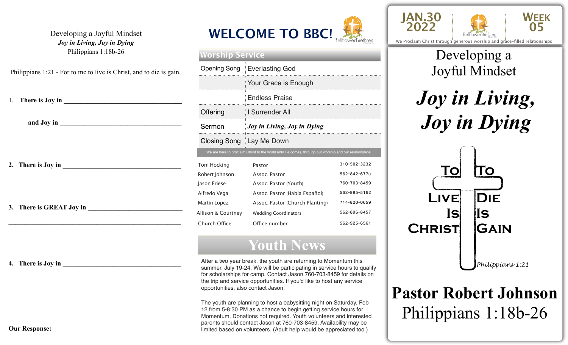#### Developing a Joyful Mindset *Joy in Living, Joy in Dying*  Philippians 1:18b-26

Philippians 1:21 - For to me to live is Christ, and to die is gain.

| 3. There is GREAT Joy in |
|--------------------------|

**4.** There is Joy in





| Worship Service     |                                                                                                        |              |  |
|---------------------|--------------------------------------------------------------------------------------------------------|--------------|--|
| Opening Song        | <b>Everlasting God</b>                                                                                 |              |  |
|                     | Your Grace is Enough                                                                                   |              |  |
|                     | <b>Endless Praise</b>                                                                                  |              |  |
| Offering            | I Surrender All                                                                                        |              |  |
| Sermon              | Joy in Living, Joy in Dying                                                                            |              |  |
| Closing Song        | i Lay Me Down                                                                                          |              |  |
|                     | We are here to proclaim Christ to the world until He comes, through our worship and our relationships. |              |  |
| <b>Tom Hocking</b>  | Pastor                                                                                                 | 310-502-3232 |  |
| Robert Johnson      | Assoc. Pastor                                                                                          | 562-842-6770 |  |
| Jason Friese        | Assoc. Pastor (Youth)                                                                                  | 760-703-8459 |  |
| Alfredo Vega        | Assoc. Pastor (Habla Español)                                                                          | 562-895-5162 |  |
| <b>Martin Lopez</b> | Assoc. Pastor (Church Planting)                                                                        | 714-820-0659 |  |
| Allison & Courtney  | <b>Wedding Coordinators</b>                                                                            | 562-896-8457 |  |
| Church Office       | Office number                                                                                          | 562-925-6561 |  |

## **Youth News**

After a two year break, the youth are returning to Momentum this summer, July 19-24. We will be participating in service hours to qualify for scholarships for camp. Contact Jason 760-703-8459 for details on the trip and service opportunities. If you'd like to host any service opportunities, also contact Jason.

The youth are planning to host a babysitting night on Saturday, Feb 12 from 5-8:30 PM as a chance to begin getting service hours for Momentum. Donations not required. Youth volunteers and interested parents should contact Jason at 760-703-8459. Availability may be limited based on volunteers. (Adult help would be appreciated too.)





We Proclaim Christ through generous worship and grace-filled relationships

### \_\_\_\_\_\_\_\_\_\_\_\_\_\_\_\_\_\_\_\_\_\_\_\_\_\_\_\_\_\_\_\_\_\_\_\_\_\_\_\_\_\_\_\_\_\_\_\_\_ Developing a Joyful Mindset

*Joy in Living, Joy in Dying*



# **Pastor Robert Johnson**  Philippians 1:18b-26